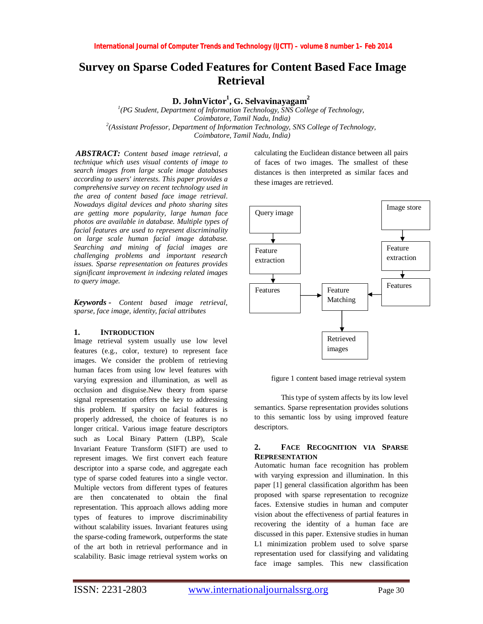# **Survey on Sparse Coded Features for Content Based Face Image Retrieval**

**D. JohnVictor<sup>1</sup> , G. Selvavinayagam<sup>2</sup>**

*1 (PG Student, Department of Information Technology, SNS College of Technology, Coimbatore, Tamil Nadu, India) 2 (Assistant Professor, Department of Information Technology, SNS College of Technology, Coimbatore, Tamil Nadu, India)*

*ABSTRACT: Content based image retrieval, a technique which uses visual contents of image to search images from large scale image databases according to users' interests. This paper provides a comprehensive survey on recent technology used in the area of content based face image retrieval. Nowadays digital devices and photo sharing sites are getting more popularity, large human face photos are available in database. Multiple types of facial features are used to represent discriminality on large scale human facial image database. Searching and mining of facial images are challenging problems and important research issues. Sparse representation on features provides significant improvement in indexing related images to query image.*

*Keywords - Content based image retrieval, sparse, face image, identity, facial attributes*

#### **1. INTRODUCTION**

Image retrieval system usually use low level features (e.g., color, texture) to represent face images. We consider the problem of retrieving human faces from using low level features with varying expression and illumination, as well as occlusion and disguise.New theory from sparse signal representation offers the key to addressing this problem. If sparsity on facial features is properly addressed, the choice of features is no longer critical. Various image feature descriptors such as Local Binary Pattern (LBP), Scale Invariant Feature Transform (SIFT) are used to represent images. We first convert each feature descriptor into a sparse code, and aggregate each type of sparse coded features into a single vector. Multiple vectors from different types of features are then concatenated to obtain the final representation. This approach allows adding more types of features to improve discriminability without scalability issues. Invariant features using the sparse-coding framework, outperforms the state of the art both in retrieval performance and in scalability. Basic image retrieval system works on

calculating the Euclidean distance between all pairs of faces of two images. The smallest of these distances is then interpreted as similar faces and these images are retrieved.



figure 1 content based image retrieval system

This type of system affects by its low level semantics. Sparse representation provides solutions to this semantic loss by using improved feature descriptors.

# **2. FACE RECOGNITION VIA SPARSE REPRESENTATION**

Automatic human face recognition has problem with varying expression and illumination. In this paper [1] general classification algorithm has been proposed with sparse representation to recognize faces. Extensive studies in human and computer vision about the effectiveness of partial features in recovering the identity of a human face are discussed in this paper. Extensive studies in human L1 minimization problem used to solve sparse representation used for classifying and validating face image samples. This new classification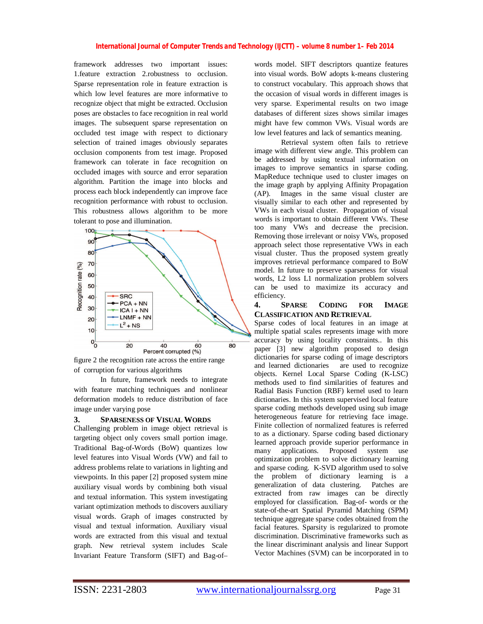#### *International Journal of Computer Trends and Technology (IJCTT) – volume 8 number 1– Feb 2014*

framework addresses two important issues: 1.feature extraction 2.robustness to occlusion. Sparse representation role in feature extraction is which low level features are more informative to recognize object that might be extracted. Occlusion poses are obstacles to face recognition in real world images. The subsequent sparse representation on occluded test image with respect to dictionary selection of trained images obviously separates occlusion components from test image. Proposed framework can tolerate in face recognition on occluded images with source and error separation algorithm. Partition the image into blocks and process each block independently can improve face recognition performance with robust to occlusion. This robustness allows algorithm to be more tolerant to pose and illumination.





In future, framework needs to integrate with feature matching techniques and nonlinear deformation models to reduce distribution of face image under varying pose

#### **3. SPARSENESS OF VISUAL WORDS**

Challenging problem in image object retrieval is targeting object only covers small portion image. Traditional Bag-of-Words (BoW) quantizes low level features into Visual Words (VW) and fail to address problems relate to variations in lighting and viewpoints. In this paper [2] proposed system mine auxiliary visual words by combining both visual and textual information. This system investigating variant optimization methods to discovers auxiliary visual words. Graph of images constructed by visual and textual information. Auxiliary visual words are extracted from this visual and textual graph. New retrieval system includes Scale Invariant Feature Transform (SIFT) and Bag-of–

words model. SIFT descriptors quantize features into visual words. BoW adopts k-means clustering to construct vocabulary. This approach shows that the occasion of visual words in different images is very sparse. Experimental results on two image databases of different sizes shows similar images might have few common VWs. Visual words are low level features and lack of semantics meaning.

Retrieval system often fails to retrieve image with different view angle. This problem can be addressed by using textual information on images to improve semantics in sparse coding. MapReduce technique used to cluster images on the image graph by applying Affinity Propagation (AP). Images in the same visual cluster are visually similar to each other and represented by VWs in each visual cluster. Propagation of visual words is important to obtain different VWs. These too many VWs and decrease the precision. Removing those irrelevant or noisy VWs, proposed approach select those representative VWs in each visual cluster. Thus the proposed system greatly improves retrieval performance compared to BoW model. In future to preserve sparseness for visual words, L2 loss L1 normalization problem solvers can be used to maximize its accuracy and efficiency.

## **4. SPARSE CODING FOR IMAGE CLASSIFICATION AND RETRIEVAL**

Sparse codes of local features in an image at multiple spatial scales represents image with more accuracy by using locality constraints.. In this paper [3] new algorithm proposed to design dictionaries for sparse coding of image descriptors and learned dictionaries are used to recognize objects. Kernel Local Sparse Coding (K-LSC) methods used to find similarities of features and Radial Basis Function (RBF) kernel used to learn dictionaries. In this system supervised local feature sparse coding methods developed using sub image heterogeneous feature for retrieving face image. Finite collection of normalized features is referred to as a dictionary. Sparse coding based dictionary learned approach provide superior performance in many applications. Proposed system use optimization problem to solve dictionary learning and sparse coding. K-SVD algorithm used to solve the problem of dictionary learning is a generalization of data clustering. Patches are extracted from raw images can be directly employed for classification. Bag-of- words or the state-of-the-art Spatial Pyramid Matching (SPM) technique aggregate sparse codes obtained from the facial features. Sparsity is regularized to promote discrimination. Discriminative frameworks such as the linear discriminant analysis and linear Support Vector Machines (SVM) can be incorporated in to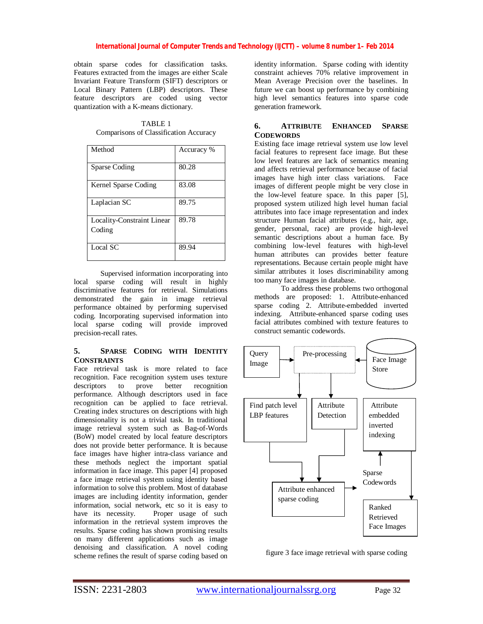### *International Journal of Computer Trends and Technology (IJCTT) – volume 8 number 1– Feb 2014*

obtain sparse codes for classification tasks. Features extracted from the images are either Scale Invariant Feature Transform (SIFT) descriptors or Local Binary Pattern (LBP) descriptors. These feature descriptors are coded using vector quantization with a K-means dictionary.

TABLE 1 Comparisons of Classification Accuracy

| Method                                      | Accuracy % |
|---------------------------------------------|------------|
| Sparse Coding                               | 80.28      |
| Kernel Sparse Coding                        | 83.08      |
| Laplacian SC                                | 89.75      |
| <b>Locality-Constraint Linear</b><br>Coding | 89.78      |
| Local SC                                    | 89.94      |

Supervised information incorporating into local sparse coding will result in highly discriminative features for retrieval. Simulations demonstrated the gain in image retrieval performance obtained by performing supervised coding. Incorporating supervised information into local sparse coding will provide improved precision-recall rates.

#### **5. SPARSE CODING WITH IDENTITY CONSTRAINTS**

Face retrieval task is more related to face recognition. Face recognition system uses texture descriptors to prove better recognition performance. Although descriptors used in face recognition can be applied to face retrieval. Creating index structures on descriptions with high dimensionality is not a trivial task. In traditional image retrieval system such as Bag-of-Words (BoW) model created by local feature descriptors does not provide better performance. It is because face images have higher intra-class variance and these methods neglect the important spatial information in face image. This paper [4] proposed a face image retrieval system using identity based information to solve this problem. Most of database images are including identity information, gender information, social network, etc so it is easy to have its necessity. Proper usage of such information in the retrieval system improves the results. Sparse coding has shown promising results on many different applications such as image denoising and classification. A novel coding scheme refines the result of sparse coding based on

identity information. Sparse coding with identity constraint achieves 70% relative improvement in Mean Average Precision over the baselines. In future we can boost up performance by combining high level semantics features into sparse code generation framework.

## **6. ATTRIBUTE ENHANCED SPARSE CODEWORDS**

Existing face image retrieval system use low level facial features to represent face image. But these low level features are lack of semantics meaning and affects retrieval performance because of facial images have high inter class variations. Face images of different people might be very close in the low-level feature space. In this paper [5], proposed system utilized high level human facial attributes into face image representation and index structure Human facial attributes (e.g., hair, age, gender, personal, race) are provide high-level semantic descriptions about a human face. By combining low-level features with high-level human attributes can provides better feature representations. Because certain people might have similar attributes it loses discriminability among too many face images in database.

To address these problems two orthogonal methods are proposed: 1. Attribute-enhanced sparse coding 2. Attribute-embedded inverted indexing. Attribute-enhanced sparse coding uses facial attributes combined with texture features to construct semantic codewords.